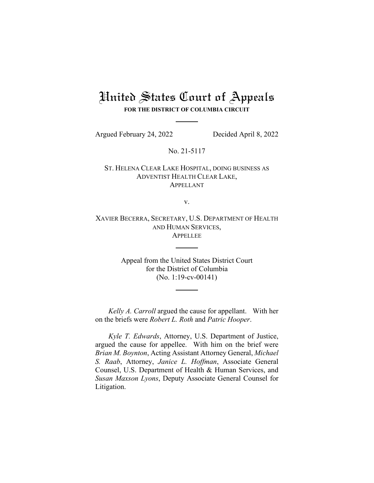## United States Court of Appeals **FOR THE DISTRICT OF COLUMBIA CIRCUIT**

Argued February 24, 2022 Decided April 8, 2022

No. 21-5117

ST. HELENA CLEAR LAKE HOSPITAL, DOING BUSINESS AS ADVENTIST HEALTH CLEAR LAKE, APPELLANT

v.

XAVIER BECERRA, SECRETARY, U.S. DEPARTMENT OF HEALTH AND HUMAN SERVICES, APPELLEE

> Appeal from the United States District Court for the District of Columbia (No. 1:19-cv-00141)

*Kelly A. Carroll* argued the cause for appellant. With her on the briefs were *Robert L. Roth* and *Patric Hooper*.

*Kyle T. Edwards*, Attorney, U.S. Department of Justice, argued the cause for appellee. With him on the brief were *Brian M. Boynton*, Acting Assistant Attorney General, *Michael S. Raab*, Attorney, *Janice L. Hoffman*, Associate General Counsel, U.S. Department of Health & Human Services, and *Susan Maxson Lyons*, Deputy Associate General Counsel for Litigation.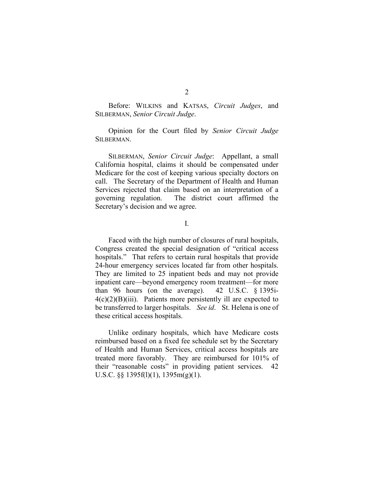Before: WILKINS and KATSAS, *Circuit Judges*, and SILBERMAN, *Senior Circuit Judge*.

Opinion for the Court filed by *Senior Circuit Judge* SILBERMAN.

SILBERMAN, *Senior Circuit Judge*: Appellant, a small California hospital, claims it should be compensated under Medicare for the cost of keeping various specialty doctors on call. The Secretary of the Department of Health and Human Services rejected that claim based on an interpretation of a governing regulation. The district court affirmed the Secretary's decision and we agree.

I.

Faced with the high number of closures of rural hospitals, Congress created the special designation of "critical access hospitals." That refers to certain rural hospitals that provide 24-hour emergency services located far from other hospitals. They are limited to 25 inpatient beds and may not provide inpatient care—beyond emergency room treatment—for more than 96 hours (on the average). 42 U.S.C. § 1395i- $4(c)(2)(B)(iii)$ . Patients more persistently ill are expected to be transferred to larger hospitals. *See id*. St. Helena is one of these critical access hospitals.

Unlike ordinary hospitals, which have Medicare costs reimbursed based on a fixed fee schedule set by the Secretary of Health and Human Services, critical access hospitals are treated more favorably. They are reimbursed for 101% of their "reasonable costs" in providing patient services. 42 U.S.C. §§ 1395f(l)(1), 1395m(g)(1).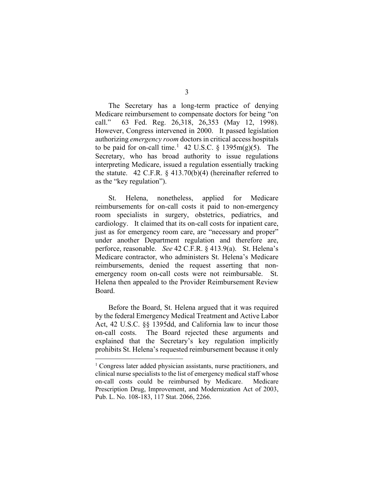3

The Secretary has a long-term practice of denying Medicare reimbursement to compensate doctors for being "on call." 63 Fed. Reg. 26,318, 26,353 (May 12, 1998). However, Congress intervened in 2000. It passed legislation authorizing *emergency room* doctors in critical access hospitals to be paid for on-call time.<sup>[1](#page-2-0)</sup> 42 U.S.C. § 1395m(g)(5). The Secretary, who has broad authority to issue regulations interpreting Medicare, issued a regulation essentially tracking the statute. 42 C.F.R.  $\S$  413.70(b)(4) (hereinafter referred to as the "key regulation").

St. Helena, nonetheless, applied for Medicare reimbursements for on-call costs it paid to non-emergency room specialists in surgery, obstetrics, pediatrics, and cardiology. It claimed that its on-call costs for inpatient care, just as for emergency room care, are "necessary and proper" under another Department regulation and therefore are, perforce, reasonable. *See* 42 C.F.R. § 413.9(a). St. Helena's Medicare contractor, who administers St. Helena's Medicare reimbursements, denied the request asserting that nonemergency room on-call costs were not reimbursable. St. Helena then appealed to the Provider Reimbursement Review Board.

Before the Board, St. Helena argued that it was required by the federal Emergency Medical Treatment and Active Labor Act, 42 U.S.C. §§ 1395dd, and California law to incur those on-call costs. The Board rejected these arguments and explained that the Secretary's key regulation implicitly prohibits St. Helena's requested reimbursement because it only

<span id="page-2-0"></span><sup>&</sup>lt;sup>1</sup> Congress later added physician assistants, nurse practitioners, and clinical nurse specialists to the list of emergency medical staff whose on-call costs could be reimbursed by Medicare. Medicare Prescription Drug, Improvement, and Modernization Act of 2003, Pub. L. No. 108-183, 117 Stat. 2066, 2266.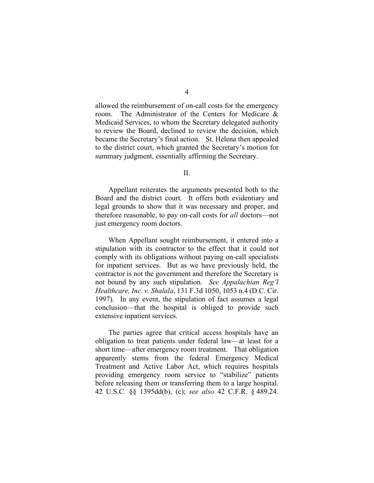allowed the reimbursement of on-call costs for the emergency room. The Administrator of the Centers for Medicare & Medicaid Services, to whom the Secretary delegated authority to review the Board, declined to review the decision, which became the Secretary's final action. St. Helena then appealed to the district court, which granted the Secretary's motion for summary judgment, essentially affirming the Secretary.

II.

Appellant reiterates the arguments presented both to the Board and the district court. It offers both evidentiary and legal grounds to show that it was necessary and proper, and therefore reasonable, to pay on-call costs for *all* doctors—not just emergency room doctors.

When Appellant sought reimbursement, it entered into a stipulation with its contractor to the effect that it could not comply with its obligations without paying on-call specialists for inpatient services. But as we have previously held, the contractor is not the government and therefore the Secretary is not bound by any such stipulation. *See Appalachian Reg'l Healthcare, Inc. v. Shalala*, 131 F.3d 1050, 1053 n.4 (D.C. Cir. 1997). In any event, the stipulation of fact assumes a legal conclusion—that the hospital is obliged to provide such extensive inpatient services.

The parties agree that critical access hospitals have an obligation to treat patients under federal law—at least for a short time—after emergency room treatment. That obligation apparently stems from the federal Emergency Medical Treatment and Active Labor Act, which requires hospitals providing emergency room service to "stabilize" patients before releasing them or transferring them to a large hospital. 42 U.S.C. §§ 1395dd(b), (c); *see also* 42 C.F.R. § 489.24.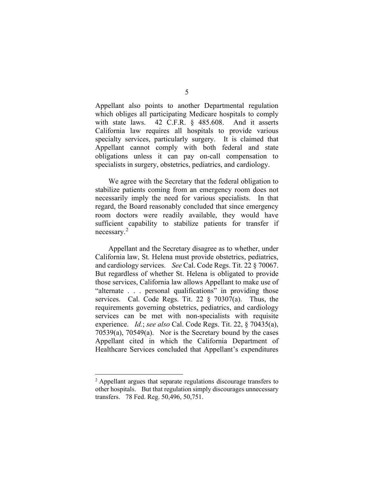Appellant also points to another Departmental regulation which obliges all participating Medicare hospitals to comply with state laws. 42 C.F.R. § 485.608. And it asserts California law requires all hospitals to provide various specialty services, particularly surgery. It is claimed that Appellant cannot comply with both federal and state obligations unless it can pay on-call compensation to specialists in surgery, obstetrics, pediatrics, and cardiology.

We agree with the Secretary that the federal obligation to stabilize patients coming from an emergency room does not necessarily imply the need for various specialists. In that regard, the Board reasonably concluded that since emergency room doctors were readily available, they would have sufficient capability to stabilize patients for transfer if necessary.[2](#page-4-0)

Appellant and the Secretary disagree as to whether, under California law, St. Helena must provide obstetrics, pediatrics, and cardiology services. *See* Cal. Code Regs. Tit. 22 § 70067. But regardless of whether St. Helena is obligated to provide those services, California law allows Appellant to make use of "alternate . . . personal qualifications" in providing those services. Cal. Code Regs. Tit. 22 § 70307(a). Thus, the requirements governing obstetrics, pediatrics, and cardiology services can be met with non-specialists with requisite experience. *Id.*; *see also* Cal. Code Regs. Tit. 22, § 70435(a), 70539(a), 70549(a). Nor is the Secretary bound by the cases Appellant cited in which the California Department of Healthcare Services concluded that Appellant's expenditures

<span id="page-4-0"></span><sup>&</sup>lt;sup>2</sup> Appellant argues that separate regulations discourage transfers to other hospitals. But that regulation simply discourages unnecessary transfers. 78 Fed. Reg. 50,496, 50,751.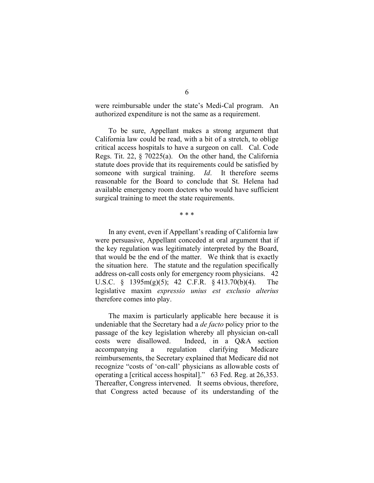were reimbursable under the state's Medi-Cal program. An authorized expenditure is not the same as a requirement.

To be sure, Appellant makes a strong argument that California law could be read, with a bit of a stretch, to oblige critical access hospitals to have a surgeon on call. Cal. Code Regs. Tit. 22, § 70225(a). On the other hand, the California statute does provide that its requirements could be satisfied by someone with surgical training. *Id*. It therefore seems reasonable for the Board to conclude that St. Helena had available emergency room doctors who would have sufficient surgical training to meet the state requirements.

\* \* \*

In any event, even if Appellant's reading of California law were persuasive, Appellant conceded at oral argument that if the key regulation was legitimately interpreted by the Board, that would be the end of the matter. We think that is exactly the situation here. The statute and the regulation specifically address on-call costs only for emergency room physicians. 42 U.S.C. § 1395m(g)(5); 42 C.F.R. § 413.70(b)(4). The legislative maxim *expressio unius est exclusio alterius* therefore comes into play.

The maxim is particularly applicable here because it is undeniable that the Secretary had a *de facto* policy prior to the passage of the key legislation whereby all physician on-call costs were disallowed. Indeed, in a Q&A section accompanying a regulation clarifying Medicare reimbursements, the Secretary explained that Medicare did not recognize "costs of 'on-call' physicians as allowable costs of operating a [critical access hospital]." 63 Fed. Reg. at 26,353. Thereafter, Congress intervened. It seems obvious, therefore, that Congress acted because of its understanding of the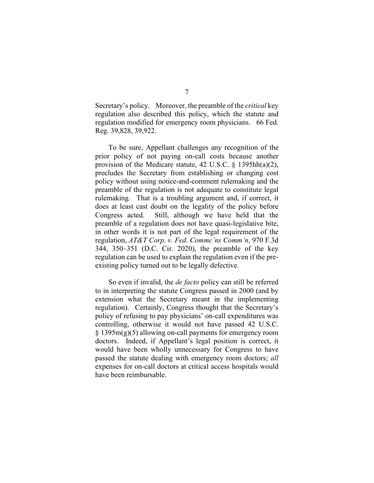Secretary's policy. Moreover, the preamble of the *critical* key regulation also described this policy, which the statute and regulation modified for emergency room physicians. 66 Fed. Reg. 39,828, 39,922.

To be sure, Appellant challenges any recognition of the prior policy of not paying on-call costs because another provision of the Medicare statute, 42 U.S.C. § 1395hh(a)(2), precludes the Secretary from establishing or changing cost policy without using notice-and-comment rulemaking and the preamble of the regulation is not adequate to constitute legal rulemaking. That is a troubling argument and, if correct, it does at least cast doubt on the legality of the policy before Congress acted. Still, although we have held that the preamble of a regulation does not have quasi-legislative bite, in other words it is not part of the legal requirement of the regulation, *AT&T Corp. v. Fed. Commc'ns Comm'n*, 970 F.3d 344, 350–351 (D.C. Cir. 2020), the preamble of the key regulation can be used to explain the regulation even if the preexisting policy turned out to be legally defective.

So even if invalid, the *de facto* policy can still be referred to in interpreting the statute Congress passed in 2000 (and by extension what the Secretary meant in the implementing regulation). Certainly, Congress thought that the Secretary's policy of refusing to pay physicians' on-call expenditures was controlling, otherwise it would not have passed 42 U.S.C. § 1395m(g)(5) allowing on-call payments for emergency room doctors. Indeed, if Appellant's legal position is correct, it would have been wholly unnecessary for Congress to have passed the statute dealing with emergency room doctors; *all*  expenses for on-call doctors at critical access hospitals would have been reimbursable.